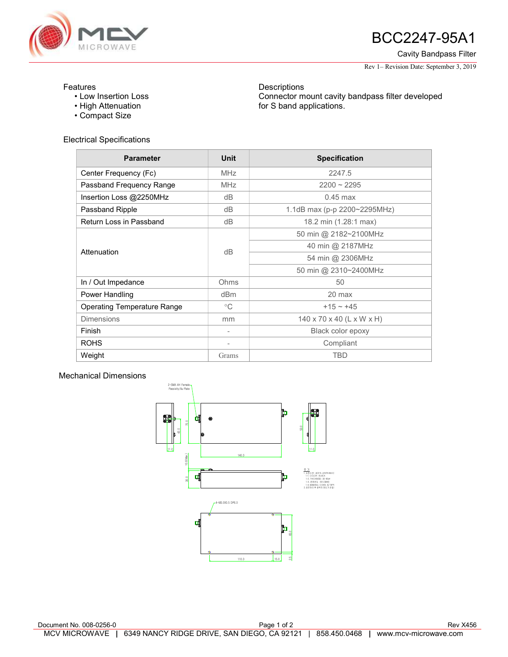

## AVE **BCC2247-95A1**

Cavity Bandpass Filter

Rev 1– Revision Date: September 3, 2019

## Features

- Low Insertion Loss
- High Attenuation
- Compact Size

Electrical Specifications

**Descriptions** Connector mount cavity bandpass filter developed for S band applications.

| <b>Parameter</b>                   | <b>Unit</b>     | <b>Specification</b>         |
|------------------------------------|-----------------|------------------------------|
| Center Frequency (Fc)              | <b>MHz</b>      | 2247.5                       |
| Passband Frequency Range           | <b>MHz</b>      | $2200 \sim 2295$             |
| Insertion Loss @2250MHz            | dB              | $0.45$ max                   |
| Passband Ripple                    | dB              | 1.1dB max (p-p 2200~2295MHz) |
| Return Loss in Passband            | dB              | 18.2 min (1.28:1 max)        |
| Attenuation                        | dB              | 50 min @ 2182~2100MHz        |
|                                    |                 | 40 min @ 2187MHz             |
|                                    |                 | 54 min @ 2306MHz             |
|                                    |                 | 50 min @ 2310~2400MHz        |
| In / Out Impedance                 | Ohms            | 50                           |
| Power Handling                     | dB <sub>m</sub> | $20$ max                     |
| <b>Operating Temperature Range</b> | $^{\circ}C$     | $+15 \sim +45$               |
| <b>Dimensions</b>                  | mm              | 140 x 70 x 40 (L x W x H)    |
| Finish                             |                 | Black color epoxy            |
| <b>ROHS</b>                        |                 | Compliant                    |
| Weight                             | Grams           | <b>TBD</b>                   |

## Mechanical Dimensions